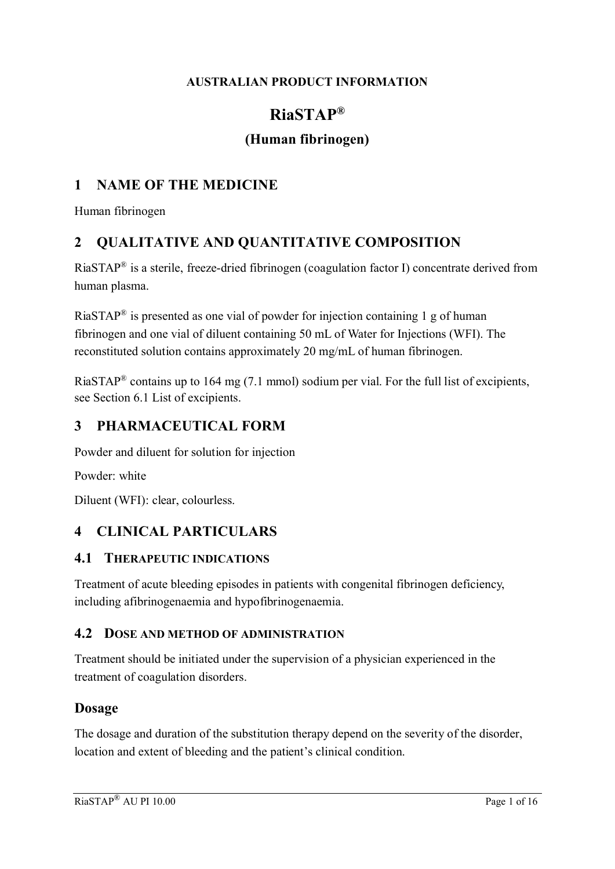#### **AUSTRALIAN PRODUCT INFORMATION**

# **RiaSTAP®**

# **(Human fibrinogen)**

## **1 NAME OF THE MEDICINE**

Human fibrinogen

## **2 QUALITATIVE AND QUANTITATIVE COMPOSITION**

RiaSTAP<sup>®</sup> is a sterile, freeze-dried fibrinogen (coagulation factor I) concentrate derived from human plasma.

RiaSTAP<sup>®</sup> is presented as one vial of powder for injection containing 1 g of human fibrinogen and one vial of diluent containing 50 mL of Water for Injections (WFI). The reconstituted solution contains approximately 20 mg/mL of human fibrinogen.

RiaSTAP<sup>®</sup> contains up to 164 mg (7.1 mmol) sodium per vial. For the full list of excipients, see Section 6.1 List of excipients.

## **3 PHARMACEUTICAL FORM**

Powder and diluent for solution for injection

Powder: white

Diluent (WFI): clear, colourless.

## **4 CLINICAL PARTICULARS**

#### **4.1 THERAPEUTIC INDICATIONS**

Treatment of acute bleeding episodes in patients with congenital fibrinogen deficiency, including afibrinogenaemia and hypofibrinogenaemia.

#### **4.2 DOSE AND METHOD OF ADMINISTRATION**

Treatment should be initiated under the supervision of a physician experienced in the treatment of coagulation disorders.

### **Dosage**

The dosage and duration of the substitution therapy depend on the severity of the disorder, location and extent of bleeding and the patient's clinical condition.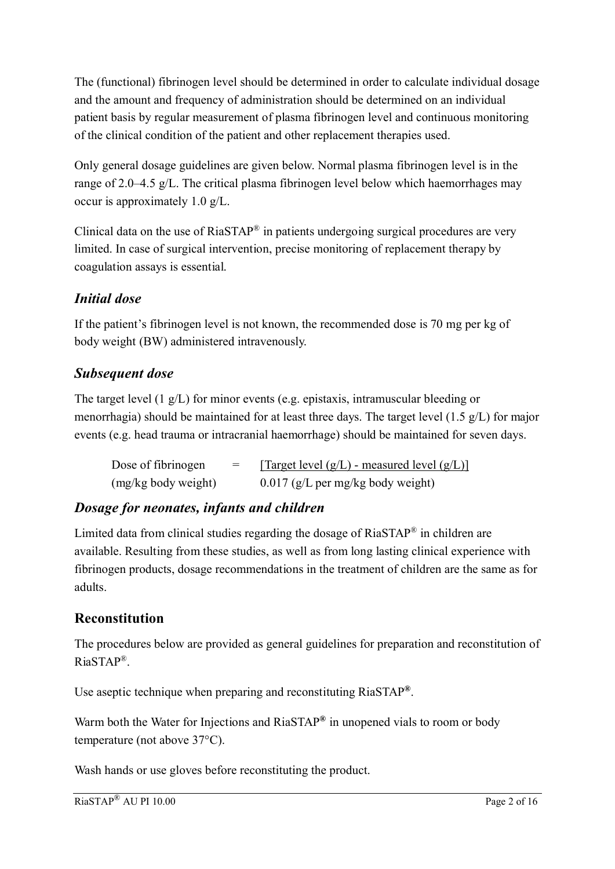The (functional) fibrinogen level should be determined in order to calculate individual dosage and the amount and frequency of administration should be determined on an individual patient basis by regular measurement of plasma fibrinogen level and continuous monitoring of the clinical condition of the patient and other replacement therapies used.

Only general dosage guidelines are given below. Normal plasma fibrinogen level is in the range of 2.0–4.5 g/L. The critical plasma fibrinogen level below which haemorrhages may occur is approximately 1.0 g/L.

Clinical data on the use of  $RiaSTAP^*$  in patients undergoing surgical procedures are very limited. In case of surgical intervention, precise monitoring of replacement therapy by coagulation assays is essential.

# *Initial dose*

If the patient's fibrinogen level is not known, the recommended dose is 70 mg per kg of body weight (BW) administered intravenously.

## *Subsequent dose*

The target level (1 g/L) for minor events (e.g. epistaxis, intramuscular bleeding or menorrhagia) should be maintained for at least three days. The target level (1.5 g/L) for major events (e.g. head trauma or intracranial haemorrhage) should be maintained for seven days.

| Dose of fibrinogen  | $=$ | [Target level $(g/L)$ - measured level $(g/L)$ ] |
|---------------------|-----|--------------------------------------------------|
| (mg/kg body weight) |     | $0.017$ (g/L per mg/kg body weight)              |

# *Dosage for neonates, infants and children*

Limited data from clinical studies regarding the dosage of RiaSTAP® in children are available. Resulting from these studies, as well as from long lasting clinical experience with fibrinogen products, dosage recommendations in the treatment of children are the same as for adults.

# **Reconstitution**

The procedures below are provided as general guidelines for preparation and reconstitution of RiaSTAP® .

Use aseptic technique when preparing and reconstituting RiaSTAP**®** .

Warm both the Water for Injections and RiaSTAP**®** in unopened vials to room or body temperature (not above 37°C).

Wash hands or use gloves before reconstituting the product.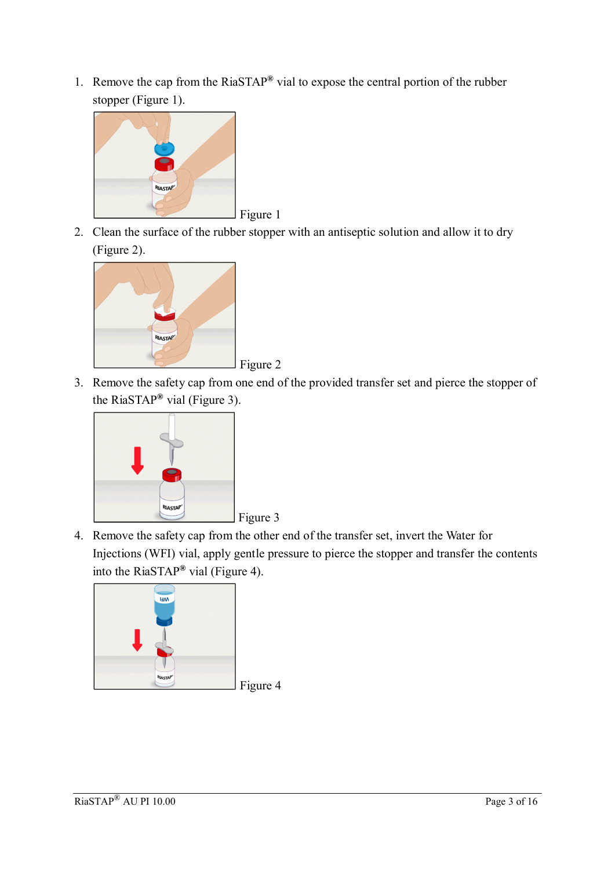1. Remove the cap from the RiaSTAP**®** vial to expose the central portion of the rubber stopper (Figure 1).



2. Clean the surface of the rubber stopper with an antiseptic solution and allow it to dry (Figure 2).





3. Remove the safety cap from one end of the provided transfer set and pierce the stopper of the RiaSTAP**®** vial (Figure 3).



4. Remove the safety cap from the other end of the transfer set, invert the Water for Injections (WFI) vial, apply gentle pressure to pierce the stopper and transfer the contents into the RiaSTAP**®** vial (Figure 4).

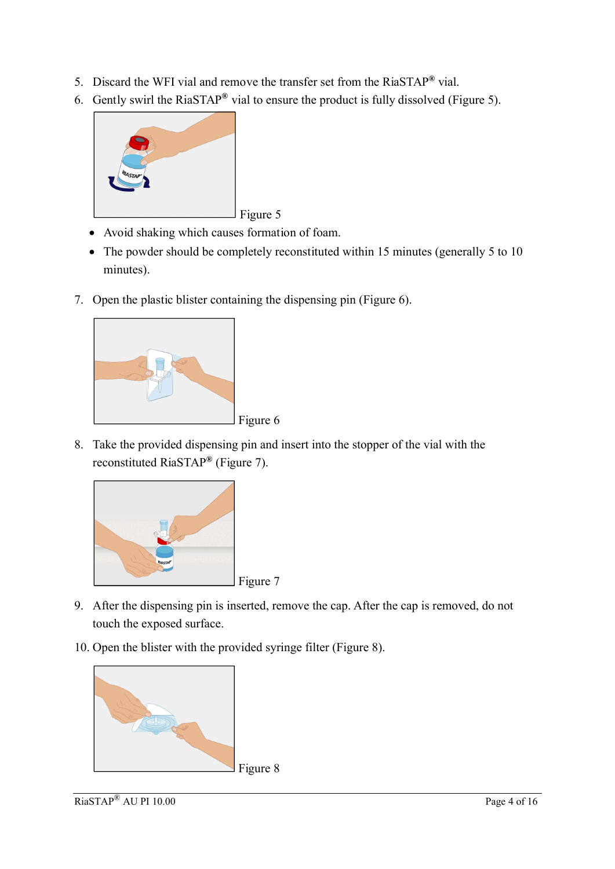- 5. Discard the WFI vial and remove the transfer set from the RiaSTAP**®** vial.
- 6. Gently swirl the RiaSTAP**®** vial to ensure the product is fully dissolved (Figure 5).



- Avoid shaking which causes formation of foam.
- The powder should be completely reconstituted within 15 minutes (generally 5 to 10) minutes).
- 7. Open the plastic blister containing the dispensing pin (Figure 6).



8. Take the provided dispensing pin and insert into the stopper of the vial with the reconstituted RiaSTAP**®** (Figure 7).



- 9. After the dispensing pin is inserted, remove the cap. After the cap is removed, do not touch the exposed surface.
- 10. Open the blister with the provided syringe filter (Figure 8).

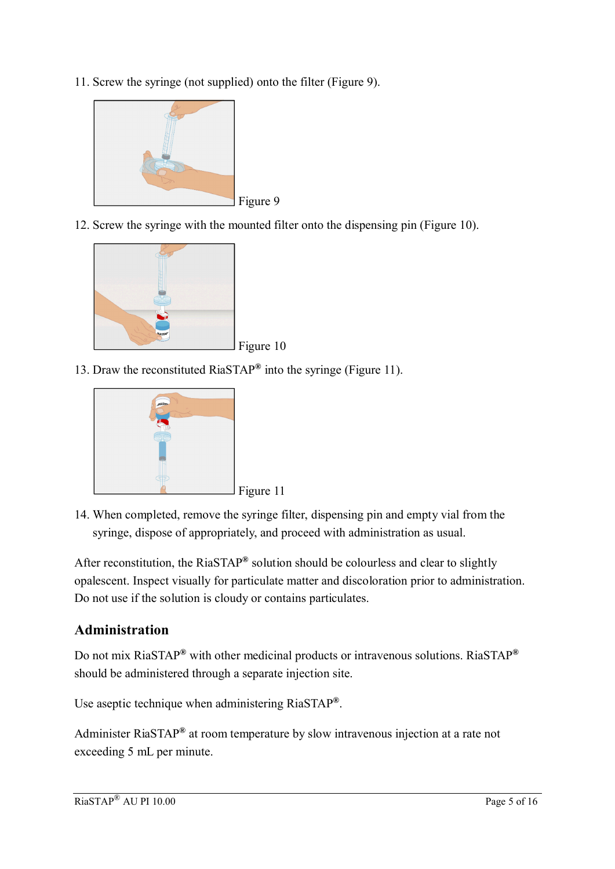11. Screw the syringe (not supplied) onto the filter (Figure 9).



12. Screw the syringe with the mounted filter onto the dispensing pin (Figure 10).



13. Draw the reconstituted RiaSTAP**®** into the syringe (Figure 11).



14. When completed, remove the syringe filter, dispensing pin and empty vial from the syringe, dispose of appropriately, and proceed with administration as usual.

After reconstitution, the RiaSTAP**®** solution should be colourless and clear to slightly opalescent. Inspect visually for particulate matter and discoloration prior to administration. Do not use if the solution is cloudy or contains particulates.

## **Administration**

Do not mix RiaSTAP**®** with other medicinal products or intravenous solutions. RiaSTAP**®** should be administered through a separate injection site.

Use aseptic technique when administering RiaSTAP**®** .

Administer RiaSTAP**®** at room temperature by slow intravenous injection at a rate not exceeding 5 mL per minute.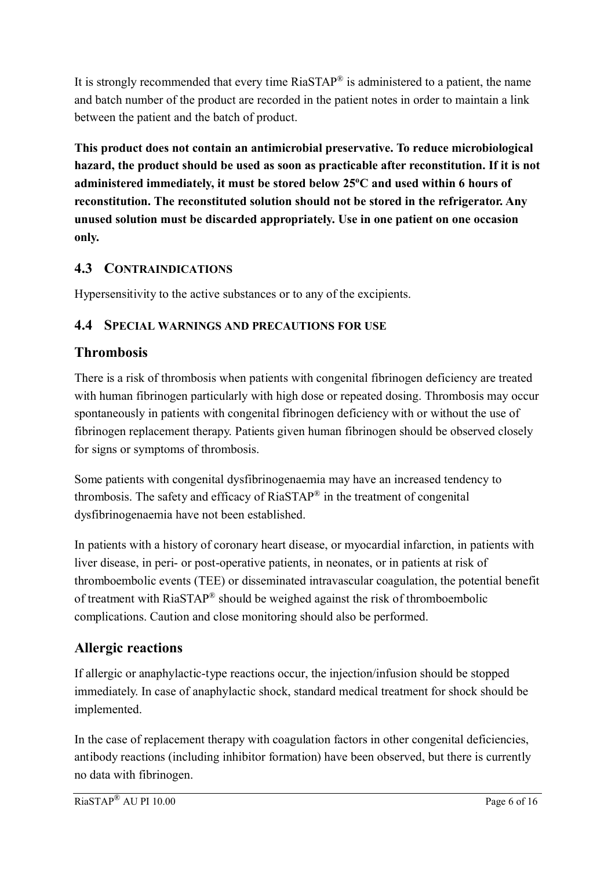It is strongly recommended that every time  $RiaSTAP^{\circledast}$  is administered to a patient, the name and batch number of the product are recorded in the patient notes in order to maintain a link between the patient and the batch of product.

**This product does not contain an antimicrobial preservative. To reduce microbiological hazard, the product should be used as soon as practicable after reconstitution. If it is not administered immediately, it must be stored below 25<sup>o</sup>C and used within 6 hours of reconstitution. The reconstituted solution should not be stored in the refrigerator. Any unused solution must be discarded appropriately. Use in one patient on one occasion only.**

## **4.3 CONTRAINDICATIONS**

Hypersensitivity to the active substances or to any of the excipients.

## **4.4 SPECIAL WARNINGS AND PRECAUTIONS FOR USE**

## **Thrombosis**

There is a risk of thrombosis when patients with congenital fibrinogen deficiency are treated with human fibrinogen particularly with high dose or repeated dosing. Thrombosis may occur spontaneously in patients with congenital fibrinogen deficiency with or without the use of fibrinogen replacement therapy. Patients given human fibrinogen should be observed closely for signs or symptoms of thrombosis.

Some patients with congenital dysfibrinogenaemia may have an increased tendency to thrombosis. The safety and efficacy of RiaSTAP® in the treatment of congenital dysfibrinogenaemia have not been established.

In patients with a history of coronary heart disease, or myocardial infarction, in patients with liver disease, in peri- or post-operative patients, in neonates, or in patients at risk of thromboembolic events (TEE) or disseminated intravascular coagulation, the potential benefit of treatment with RiaSTAP® should be weighed against the risk of thromboembolic complications. Caution and close monitoring should also be performed.

# **Allergic reactions**

If allergic or anaphylactic-type reactions occur, the injection/infusion should be stopped immediately. In case of anaphylactic shock, standard medical treatment for shock should be implemented.

In the case of replacement therapy with coagulation factors in other congenital deficiencies, antibody reactions (including inhibitor formation) have been observed, but there is currently no data with fibrinogen.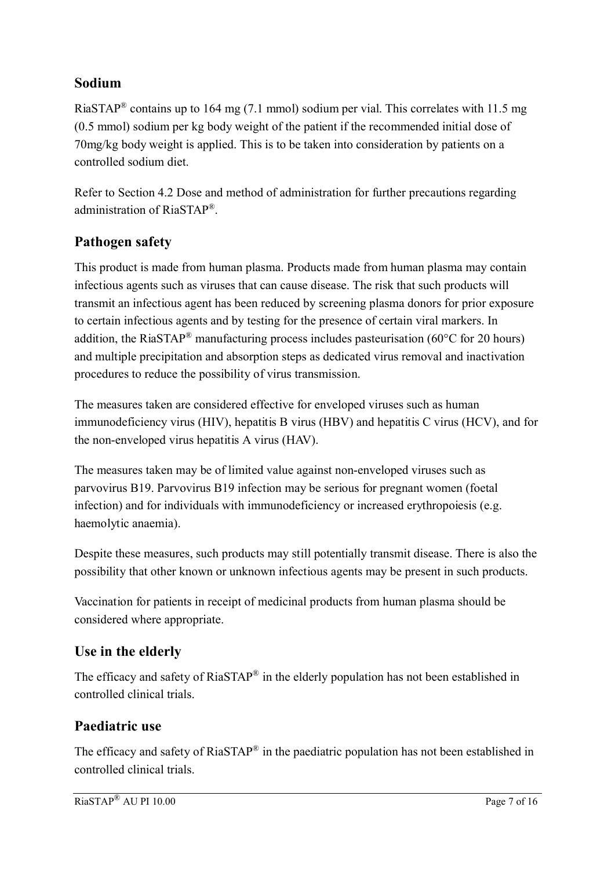### **Sodium**

RiaSTAP<sup>®</sup> contains up to 164 mg (7.1 mmol) sodium per vial. This correlates with 11.5 mg (0.5 mmol) sodium per kg body weight of the patient if the recommended initial dose of 70mg/kg body weight is applied. This is to be taken into consideration by patients on a controlled sodium diet.

Refer to Section 4.2 Dose and method of administration for further precautions regarding administration of RiaSTAP® .

## **Pathogen safety**

This product is made from human plasma. Products made from human plasma may contain infectious agents such as viruses that can cause disease. The risk that such products will transmit an infectious agent has been reduced by screening plasma donors for prior exposure to certain infectious agents and by testing for the presence of certain viral markers. In addition, the RiaSTAP<sup>®</sup> manufacturing process includes pasteurisation (60 $\degree$ C for 20 hours) and multiple precipitation and absorption steps as dedicated virus removal and inactivation procedures to reduce the possibility of virus transmission.

The measures taken are considered effective for enveloped viruses such as human immunodeficiency virus (HIV), hepatitis B virus (HBV) and hepatitis C virus (HCV), and for the non-enveloped virus hepatitis A virus (HAV).

The measures taken may be of limited value against non-enveloped viruses such as parvovirus B19. Parvovirus B19 infection may be serious for pregnant women (foetal infection) and for individuals with immunodeficiency or increased erythropoiesis (e.g. haemolytic anaemia).

Despite these measures, such products may still potentially transmit disease. There is also the possibility that other known or unknown infectious agents may be present in such products.

Vaccination for patients in receipt of medicinal products from human plasma should be considered where appropriate.

## **Use in the elderly**

The efficacy and safety of  $RiaSTAP^*$  in the elderly population has not been established in controlled clinical trials.

## **Paediatric use**

The efficacy and safety of RiaSTAP<sup>®</sup> in the paediatric population has not been established in controlled clinical trials.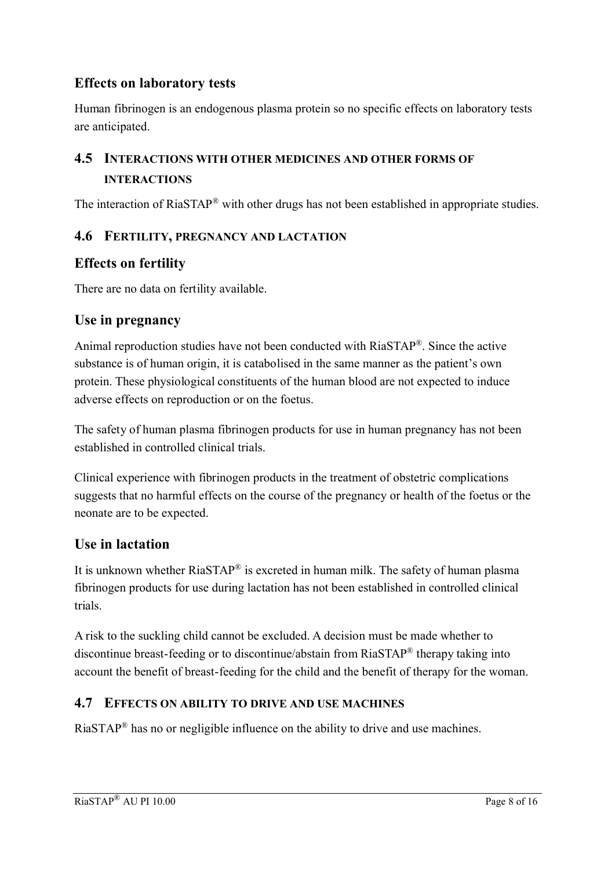## **Effects on laboratory tests**

Human fibrinogen is an endogenous plasma protein so no specific effects on laboratory tests are anticipated.

# **4.5 INTERACTIONS WITH OTHER MEDICINES AND OTHER FORMS OF INTERACTIONS**

The interaction of RiaSTAP<sup>®</sup> with other drugs has not been established in appropriate studies.

#### **4.6 FERTILITY, PREGNANCY AND LACTATION**

### **Effects on fertility**

There are no data on fertility available.

### **Use in pregnancy**

Animal reproduction studies have not been conducted with RiaSTAP® . Since the active substance is of human origin, it is catabolised in the same manner as the patient's own protein. These physiological constituents of the human blood are not expected to induce adverse effects on reproduction or on the foetus.

The safety of human plasma fibrinogen products for use in human pregnancy has not been established in controlled clinical trials.

Clinical experience with fibrinogen products in the treatment of obstetric complications suggests that no harmful effects on the course of the pregnancy or health of the foetus or the neonate are to be expected.

### **Use in lactation**

It is unknown whether RiaSTAP<sup>®</sup> is excreted in human milk. The safety of human plasma fibrinogen products for use during lactation has not been established in controlled clinical trials.

A risk to the suckling child cannot be excluded. A decision must be made whether to discontinue breast-feeding or to discontinue/abstain from RiaSTAP® therapy taking into account the benefit of breast-feeding for the child and the benefit of therapy for the woman.

### **4.7 EFFECTS ON ABILITY TO DRIVE AND USE MACHINES**

 $RiaSTAR^®$  has no or negligible influence on the ability to drive and use machines.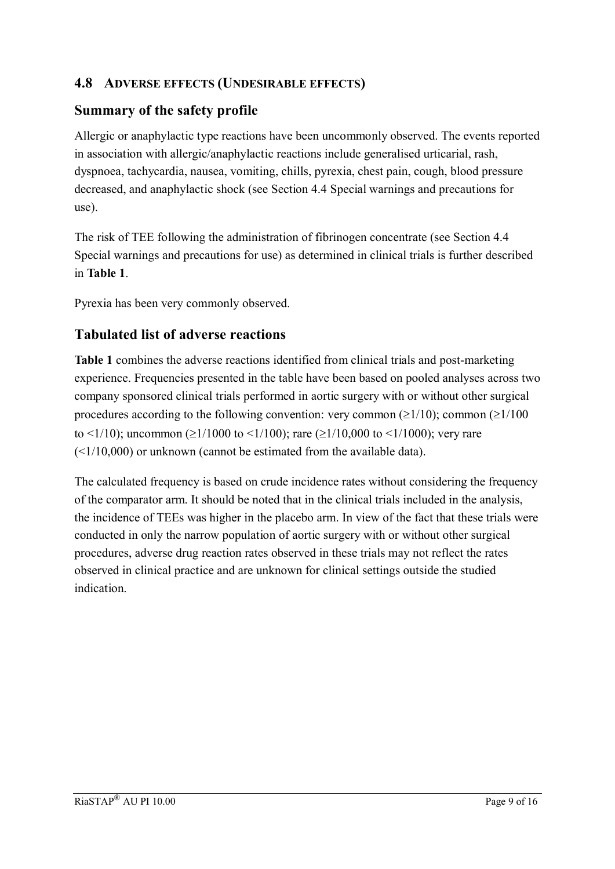### **4.8 ADVERSE EFFECTS (UNDESIRABLE EFFECTS)**

### **Summary of the safety profile**

Allergic or anaphylactic type reactions have been uncommonly observed. The events reported in association with allergic/anaphylactic reactions include generalised urticarial, rash, dyspnoea, tachycardia, nausea, vomiting, chills, pyrexia, chest pain, cough, blood pressure decreased, and anaphylactic shock (see Section 4.4 Special warnings and precautions for use).

The risk of TEE following the administration of fibrinogen concentrate (see Section 4.4 Special warnings and precautions for use) as determined in clinical trials is further described in **Table 1**.

Pyrexia has been very commonly observed.

## **Tabulated list of adverse reactions**

**Table 1** combines the adverse reactions identified from clinical trials and post-marketing experience. Frequencies presented in the table have been based on pooled analyses across two company sponsored clinical trials performed in aortic surgery with or without other surgical procedures according to the following convention: very common ( $\geq$ 1/10); common ( $\geq$ 1/100 to <1/10); uncommon ( $\geq$ 1/1000 to <1/100); rare ( $\geq$ 1/10,000 to <1/1000); very rare  $(\leq 1/10,000)$  or unknown (cannot be estimated from the available data).

The calculated frequency is based on crude incidence rates without considering the frequency of the comparator arm. It should be noted that in the clinical trials included in the analysis, the incidence of TEEs was higher in the placebo arm. In view of the fact that these trials were conducted in only the narrow population of aortic surgery with or without other surgical procedures, adverse drug reaction rates observed in these trials may not reflect the rates observed in clinical practice and are unknown for clinical settings outside the studied indication.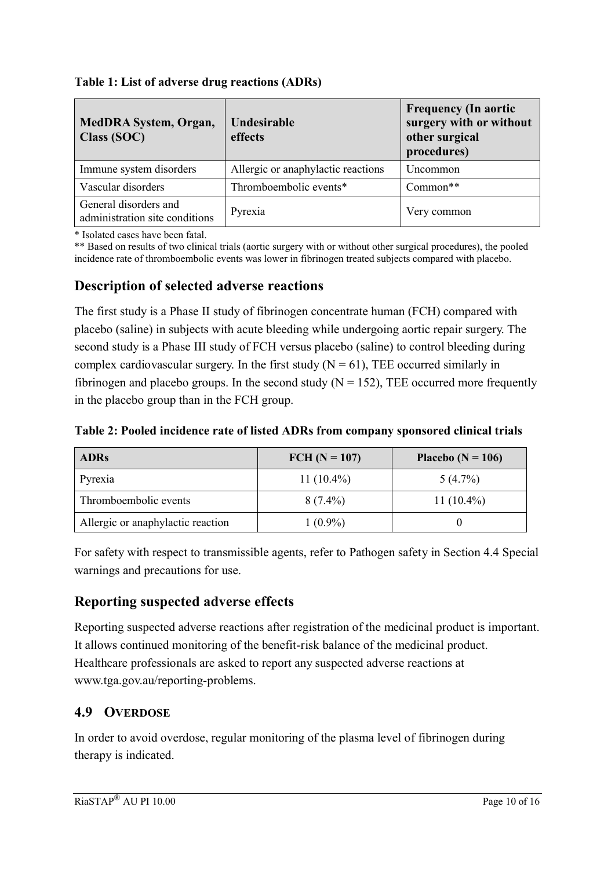| <b>MedDRA System, Organ,</b><br>Class (SOC)             | Undesirable<br>effects             | <b>Frequency (In aortic</b><br>surgery with or without<br>other surgical<br>procedures) |
|---------------------------------------------------------|------------------------------------|-----------------------------------------------------------------------------------------|
| Immune system disorders                                 | Allergic or anaphylactic reactions | Uncommon                                                                                |
| Vascular disorders                                      | Thromboembolic events*             | $Common**$                                                                              |
| General disorders and<br>administration site conditions | Pyrexia                            | Very common                                                                             |

#### **Table 1: List of adverse drug reactions (ADRs)**

\* Isolated cases have been fatal.

\*\* Based on results of two clinical trials (aortic surgery with or without other surgical procedures), the pooled incidence rate of thromboembolic events was lower in fibrinogen treated subjects compared with placebo.

#### **Description of selected adverse reactions**

The first study is a Phase II study of fibrinogen concentrate human (FCH) compared with placebo (saline) in subjects with acute bleeding while undergoing aortic repair surgery. The second study is a Phase III study of FCH versus placebo (saline) to control bleeding during complex cardiovascular surgery. In the first study  $(N = 61)$ , TEE occurred similarly in fibrinogen and placebo groups. In the second study  $(N = 152)$ , TEE occurred more frequently in the placebo group than in the FCH group.

|  | Table 2: Pooled incidence rate of listed ADRs from company sponsored clinical trials |  |  |  |
|--|--------------------------------------------------------------------------------------|--|--|--|
|  |                                                                                      |  |  |  |

| <b>ADRs</b>                       | FCH $(N = 107)$ | Placebo ( $N = 106$ ) |
|-----------------------------------|-----------------|-----------------------|
| Pyrexia                           | 11 $(10.4\%)$   | $5(4.7\%)$            |
| Thromboembolic events             | $8(7.4\%)$      | 11 $(10.4\%)$         |
| Allergic or anaphylactic reaction | $1(0.9\%)$      |                       |

For safety with respect to transmissible agents, refer to Pathogen safety in Section 4.4 Special warnings and precautions for use.

## **Reporting suspected adverse effects**

Reporting suspected adverse reactions after registration of the medicinal product is important. It allows continued monitoring of the benefit-risk balance of the medicinal product. Healthcare professionals are asked to report any suspected adverse reactions at www.tga.gov.au/reporting-problems.

### **4.9 OVERDOSE**

In order to avoid overdose, regular monitoring of the plasma level of fibrinogen during therapy is indicated.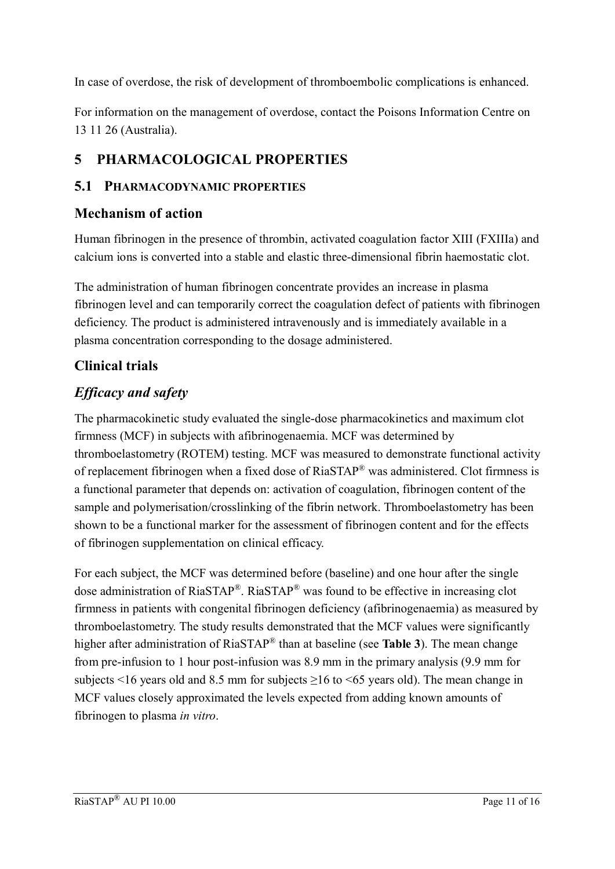In case of overdose, the risk of development of thromboembolic complications is enhanced.

For information on the management of overdose, contact the Poisons Information Centre on 13 11 26 (Australia).

# **5 PHARMACOLOGICAL PROPERTIES**

### **5.1 PHARMACODYNAMIC PROPERTIES**

### **Mechanism of action**

Human fibrinogen in the presence of thrombin, activated coagulation factor XIII (FXIIIa) and calcium ions is converted into a stable and elastic three-dimensional fibrin haemostatic clot.

The administration of human fibrinogen concentrate provides an increase in plasma fibrinogen level and can temporarily correct the coagulation defect of patients with fibrinogen deficiency. The product is administered intravenously and is immediately available in a plasma concentration corresponding to the dosage administered.

# **Clinical trials**

# *Efficacy and safety*

The pharmacokinetic study evaluated the single-dose pharmacokinetics and maximum clot firmness (MCF) in subjects with afibrinogenaemia. MCF was determined by thromboelastometry (ROTEM) testing. MCF was measured to demonstrate functional activity of replacement fibrinogen when a fixed dose of RiaSTAP® was administered. Clot firmness is a functional parameter that depends on: activation of coagulation, fibrinogen content of the sample and polymerisation/crosslinking of the fibrin network. Thromboelastometry has been shown to be a functional marker for the assessment of fibrinogen content and for the effects of fibrinogen supplementation on clinical efficacy.

For each subject, the MCF was determined before (baseline) and one hour after the single dose administration of RiaSTAP®. RiaSTAP® was found to be effective in increasing clot firmness in patients with congenital fibrinogen deficiency (afibrinogenaemia) as measured by thromboelastometry. The study results demonstrated that the MCF values were significantly higher after administration of RiaSTAP® than at baseline (see **Table 3**). The mean change from pre-infusion to 1 hour post-infusion was 8.9 mm in the primary analysis (9.9 mm for subjects <16 years old and 8.5 mm for subjects  $\geq$ 16 to <65 years old). The mean change in MCF values closely approximated the levels expected from adding known amounts of fibrinogen to plasma *in vitro*.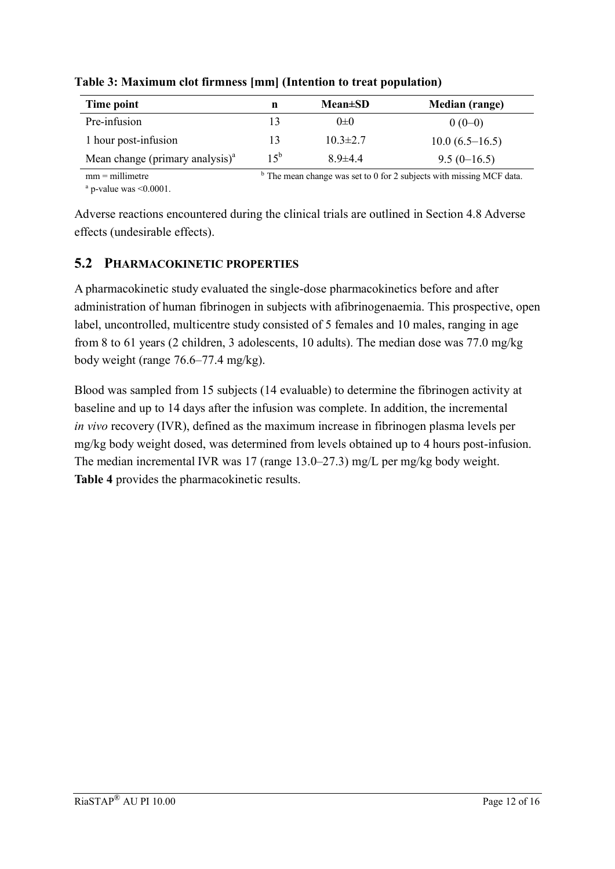| Time point                         | n        | $Mean \pm SD$  | <b>Median</b> (range) |
|------------------------------------|----------|----------------|-----------------------|
| Pre-infusion                       | 13       | $() \pm ()$    | $0(0-0)$              |
| 1 hour post-infusion               | 13       | $10.3 \pm 2.7$ | $10.0(6.5-16.5)$      |
| Mean change (primary analysis) $a$ | $15^{b}$ | $8.9{\pm}4.4$  | $9.5(0-16.5)$         |

**Table 3: Maximum clot firmness [mm] (Intention to treat population)**

mm = millimetre  $a$  p-value was  $\leq 0.0001$ .  $<sup>b</sup>$  The mean change was set to 0 for 2 subjects with missing MCF data.</sup>

Adverse reactions encountered during the clinical trials are outlined in Section 4.8 Adverse effects (undesirable effects).

### **5.2 PHARMACOKINETIC PROPERTIES**

A pharmacokinetic study evaluated the single-dose pharmacokinetics before and after administration of human fibrinogen in subjects with afibrinogenaemia. This prospective, open label, uncontrolled, multicentre study consisted of 5 females and 10 males, ranging in age from 8 to 61 years (2 children, 3 adolescents, 10 adults). The median dose was 77.0 mg/kg body weight (range 76.6–77.4 mg/kg).

Blood was sampled from 15 subjects (14 evaluable) to determine the fibrinogen activity at baseline and up to 14 days after the infusion was complete. In addition, the incremental *in vivo* recovery (IVR), defined as the maximum increase in fibrinogen plasma levels per mg/kg body weight dosed, was determined from levels obtained up to 4 hours post-infusion. The median incremental IVR was 17 (range 13.0–27.3) mg/L per mg/kg body weight. **Table 4** provides the pharmacokinetic results.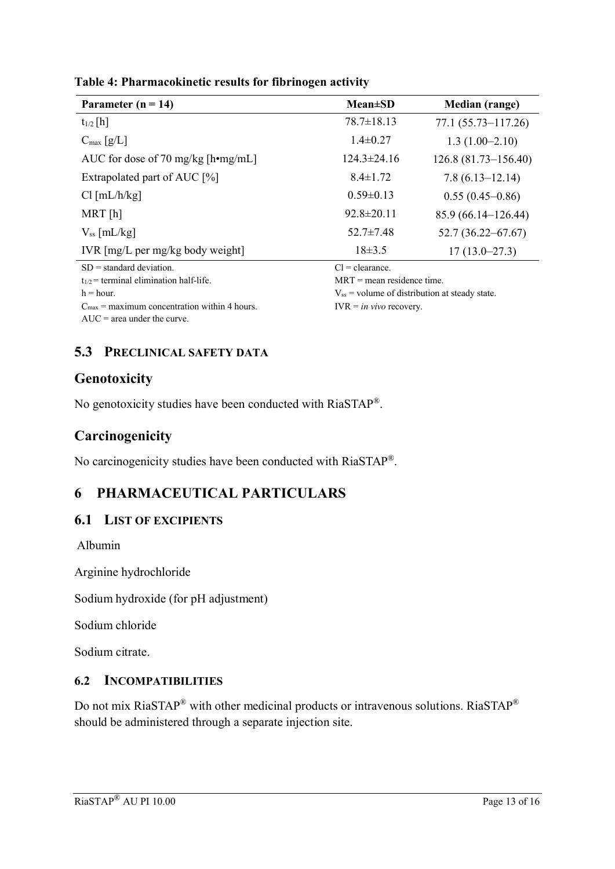| Parameter ( $n = 14$ )                      | $Mean \pm SD$                                      | <b>Median</b> (range)  |
|---------------------------------------------|----------------------------------------------------|------------------------|
| $t_{1/2}$ [h]                               | $78.7 \pm 18.13$                                   | $77.1(55.73 - 117.26)$ |
| $C_{\text{max}} [g/L]$                      | $1.4 \pm 0.27$                                     | $1.3(1.00-2.10)$       |
| AUC for dose of 70 mg/kg [h•mg/mL]          | $124.3 \pm 24.16$                                  | $126.8(81.73-156.40)$  |
| Extrapolated part of AUC [%]                | $8.4 \pm 1.72$                                     | $7.8(6.13 - 12.14)$    |
| Cl [mL/h/kg]                                | $0.59 \pm 0.13$                                    | $0.55(0.45-0.86)$      |
| $MRT$ [h]                                   | $92.8 \pm 20.11$                                   | $85.9(66.14-126.44)$   |
| $V_{ss}$ [mL/kg]                            | $52.7 \pm 7.48$                                    | $52.7(36.22 - 67.67)$  |
| IVR $[mg/L]$ per mg/kg body weight          | $18\pm3.5$                                         | $17(13.0 - 27.3)$      |
| $SD = standard deviation$ .                 | $Cl = \text{clearance}.$                           |                        |
| $t_{1/2}$ = terminal elimination half-life. | $MRT$ = mean residence time.                       |                        |
| $h = hour.$                                 | $V_{ss}$ = volume of distribution at steady state. |                        |

### **Table 4: Pharmacokinetic results for fibrinogen activity**

 $C_{\text{max}}$  = maximum concentration within 4 hours. AUC = area under the curve.

 $V_{ss}$  = volume of distribution at steady state.

IVR = *in vivo* recovery.

**5.3 PRECLINICAL SAFETY DATA**

# **Genotoxicity**

No genotoxicity studies have been conducted with RiaSTAP®.

# **Carcinogenicity**

No carcinogenicity studies have been conducted with RiaSTAP®.

# **6 PHARMACEUTICAL PARTICULARS**

### **6.1 LIST OF EXCIPIENTS**

Albumin

Arginine hydrochloride

Sodium hydroxide (for pH adjustment)

Sodium chloride

Sodium citrate.

### **6.2 INCOMPATIBILITIES**

Do not mix RiaSTAP<sup>®</sup> with other medicinal products or intravenous solutions. RiaSTAP<sup>®</sup> should be administered through a separate injection site.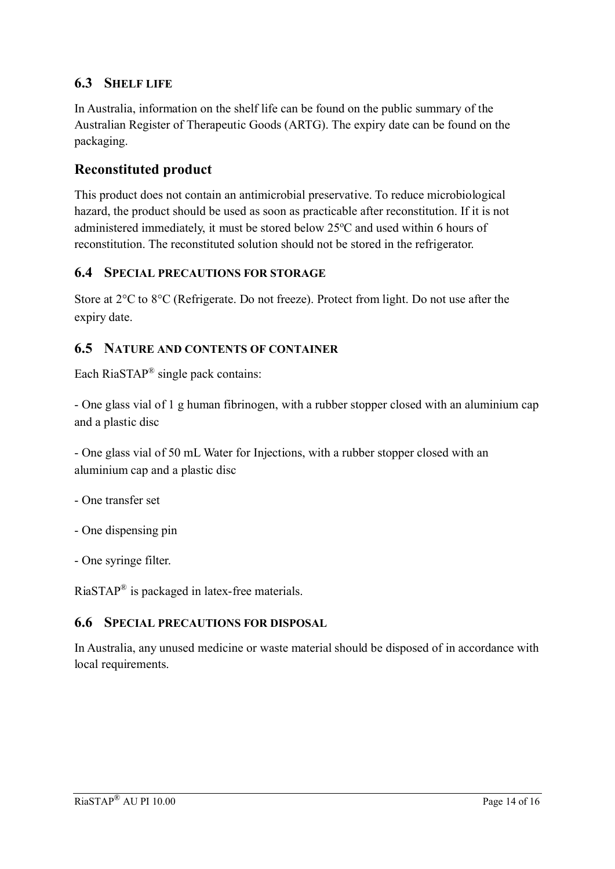### **6.3 SHELF LIFE**

In Australia, information on the shelf life can be found on the public summary of the Australian Register of Therapeutic Goods (ARTG). The expiry date can be found on the packaging.

## **Reconstituted product**

This product does not contain an antimicrobial preservative. To reduce microbiological hazard, the product should be used as soon as practicable after reconstitution. If it is not administered immediately, it must be stored below  $25^{\circ}$ C and used within 6 hours of reconstitution. The reconstituted solution should not be stored in the refrigerator.

#### **6.4 SPECIAL PRECAUTIONS FOR STORAGE**

Store at  $2^{\circ}$ C to  $8^{\circ}$ C (Refrigerate. Do not freeze). Protect from light. Do not use after the expiry date.

#### **6.5 NATURE AND CONTENTS OF CONTAINER**

Each RiaSTAP<sup>®</sup> single pack contains:

- One glass vial of 1 g human fibrinogen, with a rubber stopper closed with an aluminium cap and a plastic disc

- One glass vial of 50 mL Water for Injections, with a rubber stopper closed with an aluminium cap and a plastic disc

- One transfer set

- One dispensing pin

- One syringe filter.

RiaSTAP® is packaged in latex-free materials.

#### **6.6 SPECIAL PRECAUTIONS FOR DISPOSAL**

In Australia, any unused medicine or waste material should be disposed of in accordance with local requirements.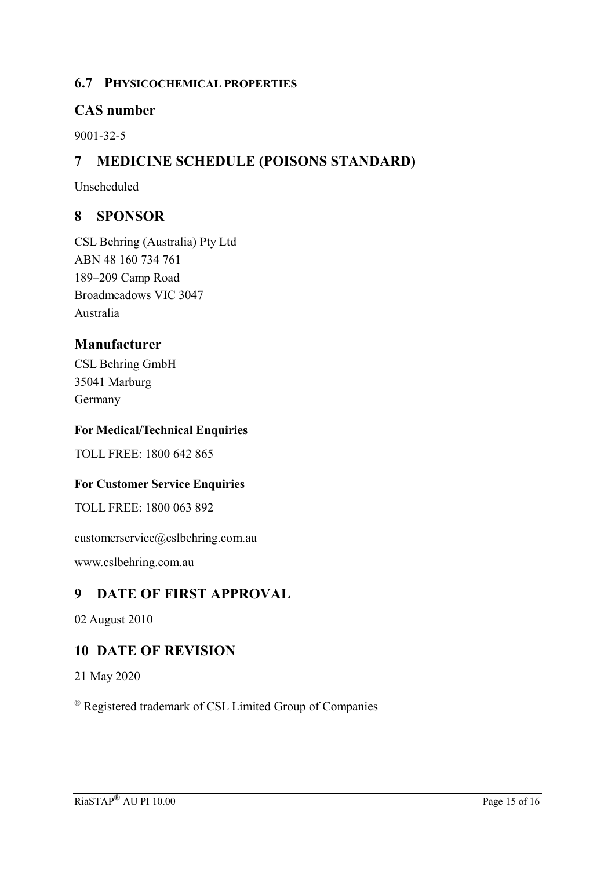#### **6.7 PHYSICOCHEMICAL PROPERTIES**

#### **CAS number**

9001-32-5

## **7 MEDICINE SCHEDULE (POISONS STANDARD)**

Unscheduled

### **8 SPONSOR**

CSL Behring (Australia) Pty Ltd ABN 48 160 734 761 189–209 Camp Road Broadmeadows VIC 3047 Australia

#### **Manufacturer**

CSL Behring GmbH 35041 Marburg Germany

#### **For Medical/Technical Enquiries**

TOLL FREE: 1800 642 865

#### **For Customer Service Enquiries**

TOLL FREE: 1800 063 892

customerservice@cslbehring.com.au

www.cslbehring.com.au

### **9 DATE OF FIRST APPROVAL**

02 August 2010

### **10 DATE OF REVISION**

21 May 2020

® Registered trademark of CSL Limited Group of Companies